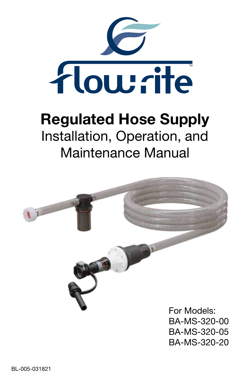

# Regulated Hose Supply Installation, Operation, and Maintenance Manual

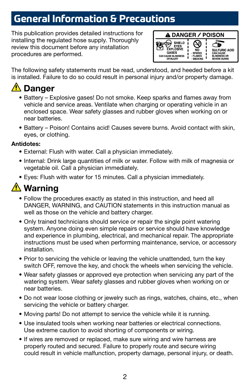## **General Information & Precautions**

This publication provides detailed instructions for installing the regulated hose supply. Thoroughly review this document before any installation procedures are performed.



The following safety statements must be read, understood, and heeded before a kit is installed. Failure to do so could result in personal injury and/or property damage.

## **A** Danger

- Battery Explosive gases! Do not smoke. Keep sparks and flames away from vehicle and service areas. Ventilate when charging or operating vehicle in an enclosed space. Wear safety glasses and rubber gloves when working on or near batteries.
- Battery Poison! Contains acid! Causes severe burns. Avoid contact with skin, eyes, or clothing.

#### Antidotes:

- External: Flush with water. Call a physician immediately.
- Internal: Drink large quantities of milk or water. Follow with milk of magnesia or vegetable oil. Call a physician immediately.
- Eyes: Flush with water for 15 minutes. Call a physician immediately.

## <u>A</u> Warning

- Follow the procedures exactly as stated in this instruction, and heed all DANGER, WARNING, and CAUTION statements in this instruction manual as well as those on the vehicle and battery charger.
- Only trained technicians should service or repair the single point watering system. Anyone doing even simple repairs or service should have knowledge and experience in plumbing, electrical, and mechanical repair. The appropriate instructions must be used when performing maintenance, service, or accessory installation.
- Prior to servicing the vehicle or leaving the vehicle unattended, turn the key switch OFF, remove the key, and chock the wheels when servicing the vehicle.
- Wear safety glasses or approved eye protection when servicing any part of the watering system. Wear safety glasses and rubber gloves when working on or near batteries.
- Do not wear loose clothing or jewelry such as rings, watches, chains, etc., when servicing the vehicle or battery charger.
- Moving parts! Do not attempt to service the vehicle while it is running.
- Use insulated tools when working near batteries or electrical connections. Use extreme caution to avoid shorting of components or wiring.
- If wires are removed or replaced, make sure wiring and wire harness are properly routed and secured. Failure to properly route and secure wiring could result in vehicle malfunction, property damage, personal injury, or death.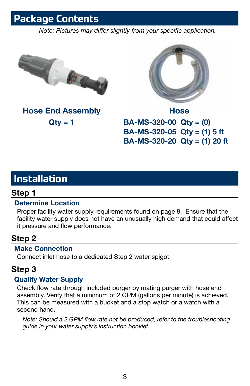## **Package Contents**

*Note: Pictures may differ slightly from your specific application.*



Hose End Assembly  $Qty = 1$ 



Hose BA-MS-320-00 Qty = (0) BA-MS-320-05 Qty = (1) 5 ft BA-MS-320-20 Qty = (1) 20 ft

## **Installation**

### Step 1

### Determine Location

Proper facility water supply requirements found on page 8. Ensure that the facility water supply does not have an unusually high demand that could affect it pressure and flow performance.

### Step 2

### Make Connection

Connect inlet hose to a dedicated Step 2 water spigot.

### Step 3

### Qualify Water Supply

Check flow rate through included purger by mating purger with hose end assembly. Verify that a minimum of 2 GPM (gallons per minute) is achieved. This can be measured with a bucket and a stop watch or a watch with a second hand.

*Note: Should a 2 GPM flow rate not be produced, refer to the troubleshooting guide in your water supply's instruction booklet.*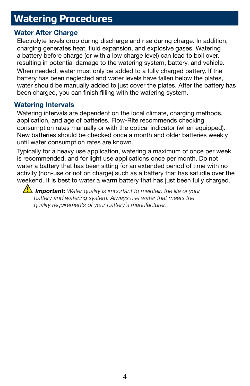## **Watering Procedures**

#### Water After Charge

Electrolyte levels drop during discharge and rise during charge. In addition, charging generates heat, fluid expansion, and explosive gases. Watering a battery before charge (or with a low charge level) can lead to boil over, resulting in potential damage to the watering system, battery, and vehicle. When needed, water must only be added to a fully charged battery. If the battery has been neglected and water levels have fallen below the plates, water should be manually added to just cover the plates. After the battery has been charged, you can finish filling with the watering system.

#### Watering Intervals

Watering intervals are dependent on the local climate, charging methods, application, and age of batteries. Flow-Rite recommends checking consumption rates manually or with the optical indicator (when equipped). New batteries should be checked once a month and older batteries weekly until water consumption rates are known.

Typically for a heavy use application, watering a maximum of once per week is recommended, and for light use applications once per month. Do not water a battery that has been sitting for an extended period of time with no activity (non-use or not on charge) such as a battery that has sat idle over the weekend. It is best to water a warm battery that has just been fully charged.

*I***M Important:** Water quality is important to maintain the life of your *battery and watering system. Always use water that meets the quality requirements of your battery's manufacturer.*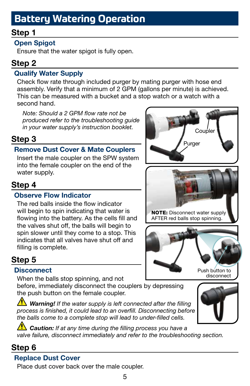## **Battery Watering Operation**

## Step 1

### Open Spigot

Ensure that the water spigot is fully open.

### Step 2

### Qualify Water Supply

Check flow rate through included purger by mating purger with hose end assembly. Verify that a minimum of 2 GPM (gallons per minute) is achieved. This can be measured with a bucket and a stop watch or a watch with a second hand.

*Note: Should a 2 GPM flow rate not be produced refer to the troubleshooting guide in your water supply's instruction booklet.*

## Step 3

### Remove Dust Cover & Mate Couplers

Insert the male coupler on the SPW system into the female coupler on the end of the water supply.

## Step 4

### Observe Flow Indicator

The red balls inside the flow indicator will begin to spin indicating that water is flowing into the battery. As the cells fill and the valves shut off, the balls will begin to spin slower until they come to a stop. This indicates that all valves have shut off and filling is complete.

## Step 5

### **Disconnect**

When the balls stop spinning, and not before, immediately disconnect the couplers by depressing the push button on the female coupler.

*Warning! If the water supply is left connected after the filling process is finished, it could lead to an overfill. Disconnecting before the balls come to a complete stop will lead to under-filled cells.*



**Caution:** If at any time during the filling process you have a *valve failure, disconnect immediately and refer to the troubleshooting section.*

## Step 6

### Replace Dust Cover

Place dust cover back over the male coupler.





NOTE: Disconnect water supply AFTER red balls stop spinning.

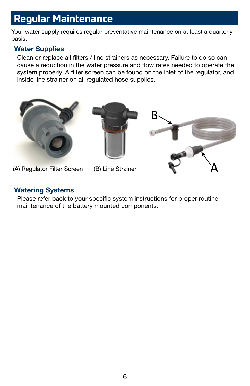## **Regular Maintenance**

Your water supply requires regular preventative maintenance on at least a quarterly basis.

#### Water Supplies

Clean or replace all filters / line strainers as necessary. Failure to do so can cause a reduction in the water pressure and flow rates needed to operate the system properly. A filter screen can be found on the inlet of the regulator, and inside line strainer on all regulated hose supplies.



- 
- 

#### Watering Systems

Please refer back to your specific system instructions for proper routine maintenance of the battery mounted components.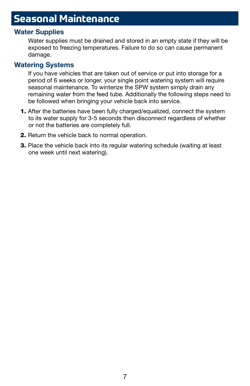## **Seasonal Maintenance**

#### Water Supplies

Water supplies must be drained and stored in an empty state if they will be exposed to freezing temperatures. Failure to do so can cause permanent damage.

#### Watering Systems

If you have vehicles that are taken out of service or put into storage for a period of 6 weeks or longer, your single point watering system will require seasonal maintenance. To winterize the SPW system simply drain any remaining water from the feed tube. Additionally the following steps need to be followed when bringing your vehicle back into service.

- 1. After the batteries have been fully charged/equalized, connect the system to its water supply for 3-5 seconds then disconnect regardless of whether or not the batteries are completely full.
- 2. Return the vehicle back to normal operation.
- 3. Place the vehicle back into its regular watering schedule (waiting at least one week until next watering).